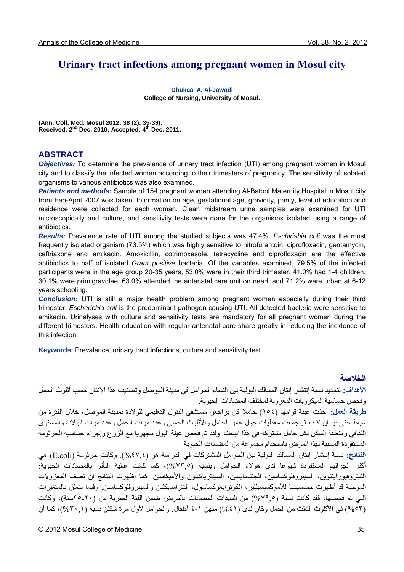# **Urinary tract infections among pregnant women in Mosul city**

**Dhukaa' A. Al-Jawadi College of Nursing, University of Mosul.** 

**(Ann. Coll. Med. Mosul 2012; 38 (2): 35-39). Received: 2nd Dec. 2010; Accepted: 4th Dec. 2011.** 

### **ABSTRACT**

*Objectives:* To determine the prevalence of urinary tract infection (UTI) among pregnant women in Mosul city and to classify the infected women according to their trimesters of pregnancy. The sensitivity of isolated organisms to various antibiotics was also examined.

*Patients and methods:* Sample of 154 pregnant women attending Al-Batool Maternity Hospital in Mosul city from Feb-April 2007 was taken. Information on age, gestational age, gravidity, parity, level of education and residence were collected for each woman. Clean midstream urine samples were examined for UTI microscopically and culture, and sensitivity tests were done for the organisms isolated using a range of antibiotics.

*Results:* Prevalence rate of UTI among the studied subjects was 47.4%. *Eschirishia coli* was the most frequently isolated organism (73.5%) which was highly sensitive to nitrofurantoin, ciprofloxacin, gentamycin, ceftriaxone and amikacin. Amoxicillin, cotrimoxasole, tetracycline and ciprofloxacin are the effective antibiotics to half of isolated *Gram positive* bacteria. Of the variables examined, 79.5% of the infected participants were in the age group 20-35 years, 53.0% were in their third trimester, 41.0% had 1-4 children, 30.1% were primigravidae, 63.0% attended the antenatal care unit on need, and 71.2% were urban at 6-12 years schooling.

*Conclusion:* UTI is still a major health problem among pregnant women especially during their third trimester. *Escherichia coli* is the predominant pathogen causing UTI. All detected bacteria were sensitive to amikacin. Urinalyses with culture and sensitivity tests are mandatory for all pregnant women during the different trimesters. Health education with regular antenatal care share greatly in reducing the incidence of this infection.

**Keywords:** Prevalence, urinary tract infections, culture and sensitivity test.

## **الخلاصة**

**الأهداف:** لتحديد نسبة إنتشار إنتان المسالك البولية بين النساء الحوامل في مدينة الموصل وتصنيف هذا الإنتان حسب أثلوث الحمل وفحص حساسية الميكروبات المعزولة لمختلف المضادات الحيوية

**طريقة العمل:** أخذت عينة قوامها (١٥٤) حاملا آن يراجعن مستشفى البتول التعليمي للولادة بمدينة الموصل، خلال الفترة من شباط حتى نيسان .٢٠٠٧ جمعت معطيات حول عمر الحامل والأثلوث الحملي وعدد مرات الحمل وعدد مرات الولادة والمستوى الثقافي ومنطقة السكن لكل حامل مشتركة في هذا البحث. ولقد تم فحص عينة البول مجهريا مع الزرع وإجراء حساسية الجرثومة المستفردة المسببة لهذا المرض باستخدام مجموعة من المضادات الحيوية.

**النتائج:** نسبة إنتشار إنتان المسالك البولية بين الحوامل المشترآات في الدراسة هو (%٤٧,٤). وآانت جرثومة (coli.E (هي أكثر الجراثيم المستفردة شيوعا لدى هؤلاء الحوامل وبنسبة (%٧٣%)، كما كانت عالية التأثر بالمضادات الحيوية: النيتروفيوراينتوين، السيبروفلوكساسين، الجنتامايسين، السيفترياكسون والأميكاسين. كما أظهرت النتائج أن نصف المعزولات الموجبة قد أظهرت حساسيتها للأموكسيسيللين، الكوترايموكساسول، التتر اسايكلين والسبير وفلوكساسين. وفيما يتعلق بالمتغيرات التي تم فحصها، فقد كانت نسبة (7٩٩%) من السيدات المصابات بالمرض ضمن الفئة العمرية من (٢٠-٣٥سنة)، وكانت (٥٣م%) في الأثلوث الثالث من الحمل وكان لدى (٤١%) منهن ١-٤ أطفال. والحوامل لأول مرة شكلن نسبة (٣٠,٠)، كما أن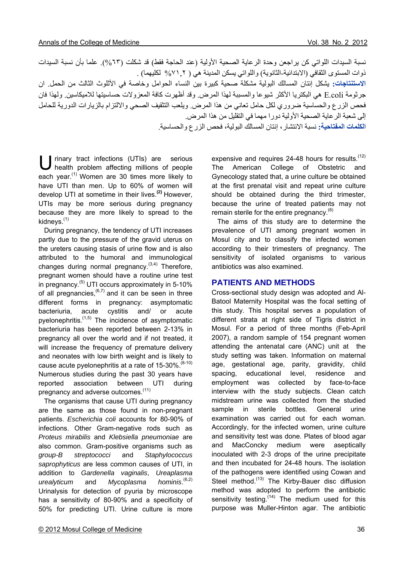نسبة السيدات اللواتي كن يراجعن وحدة الرعاية الصحية الأولية (عند الحاجة فقط) قد شكلت (7٣%). علما بأن نسبة السيدات ذوات المستوى الثقافي (الابتدائية-الثانوية) واللواتي يسكن المدينة هي ( %٧١,٢ لكليهما) . **الاستنتاجات:** يشكل إنتان المسالك البولية مشكلة صحية آبيرة بين النساء الحوامل وخاصة في الأثلوث الثالث من الحمل. ان جر ثومة E.coli هي البكتريا الأكثر شيوعا والمسببة لهذا المرض. وقد أظهرت كافة المعزو لات حساسيتها للاميكاسين. ولهذا فان فحص الزرع والحساسية ضروري لكل حامل تعاني من هذا المرض. ويلعب التثقيف الصحي والالتزام بالزيارات الدورية للحامل

إلى شعبة الرعاية الصحية الأولية دورا مهما في التقليل من هذا المرض. **الكلمات المفتاحية:** نسبة الانتشار، إنتان المسالك البولية، فحص الزرع والحساسية.

U rinary tract infections (UTIs) are serious<br>health problem affecting millions of people health problem affecting millions of people each year.<sup>(1)</sup> Women are 30 times more likely to have UTI than men. Up to 60% of women will develop UTI at sometime in their lives.**(2)** However, UTIs may be more serious during pregnancy because they are more likely to spread to the kidneys.<sup>(1)</sup>

 During pregnancy, the tendency of UTI increases partly due to the pressure of the gravid uterus on the ureters causing stasis of urine flow and is also attributed to the humoral and immunological changes during normal pregnancy. $(3,4)$  Therefore, pregnant women should have a routine urine test in pregnancy. $(5)$  UTI occurs approximately in 5-10% of all pregnancies,  $(6,7)$  and it can be seen in three different forms in pregnancy: asymptomatic bacteriuria, acute cystitis and/ or acute pyelonephritis. $(1,5)$  The incidence of asymptomatic bacteriuria has been reported between 2-13% in pregnancy all over the world and if not treated, it will increase the frequency of premature delivery and neonates with low birth weight and is likely to cause acute pyelonephritis at a rate of  $15-30\%$ .  $(8-10)$ Numerous studies during the past 30 years have reported association between UTI during pregnancy and adverse outcomes.<sup>(11)</sup>

 The organisms that cause UTI during pregnancy are the same as those found in non-pregnant patients. *Escherichia coli* accounts for 80-90% of infections. Other Gram-negative rods such as *Proteus mirabilis* and *Klebsiella pneumoniae* are also common. Gram-positive organisms such as *group-B streptococci* and *Staphylococcus saprophyticus* are less common causes of UTI, in addition to *Gardenella vaginalis*, *Ureaplasma urealyticum* and *Mycoplasma* hominis.  $(6,2)$ Urinalysis for detection of pyuria by microscope has a sensitivity of 80-90% and a specificity of 50% for predicting UTI. Urine culture is more

expensive and requires 24-48 hours for results.  $(12)$ The American College of Obstetric and Gynecology stated that, a urine culture be obtained at the first prenatal visit and repeat urine culture should be obtained during the third trimester, because the urine of treated patients may not remain sterile for the entire pregnancy. $(6)$ 

 The aims of this study are to determine the prevalence of UTI among pregnant women in Mosul city and to classify the infected women according to their trimesters of pregnancy. The sensitivity of isolated organisms to various antibiotics was also examined.

### **PATIENTS AND METHODS**

Cross-sectional study design was adopted and Al-Batool Maternity Hospital was the focal setting of this study. This hospital serves a population of different strata at right side of Tigris district in Mosul. For a period of three months (Feb-April 2007), a random sample of 154 pregnant women attending the antenatal care (ANC) unit at the study setting was taken. Information on maternal age, gestational age, parity, gravidity, child spacing, educational level, residence and employment was collected by face-to-face interview with the study subjects. Clean catch midstream urine was collected from the studied sample in sterile bottles. General urine examination was carried out for each woman. Accordingly, for the infected women, urine culture and sensitivity test was done. Plates of blood agar and MacConcky medium were aseptically inoculated with 2-3 drops of the urine precipitate and then incubated for 24-48 hours. The isolation of the pathogens were identified using Cowan and Steel method.<sup>(13)</sup> The Kirby-Bauer disc diffusion method was adopted to perform the antibiotic sensitivity testing. $(14)$  The medium used for this purpose was Muller-Hinton agar. The antibiotic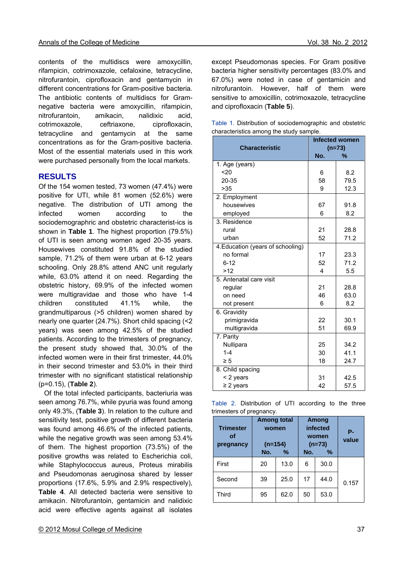contents of the multidiscs were amoxycillin, rifampicin, cotrimoxazole, cefaloxine, tetracycline, nitrofurantoin, ciprofloxacin and gentamycin in different concentrations for Gram-positive bacteria. The antibiotic contents of multidiscs for Gramnegative bacteria were amoxycillin, rifampicin, nitrofurantoin, amikacin, nalidixic acid, cotrimoxazole, ceftriaxone, ciprofloxacin, tetracycline and gentamycin at the same concentrations as for the Gram-positive bacteria. Most of the essential materials used in this work were purchased personally from the local markets.

# **RESULTS**

Of the 154 women tested, 73 women (47.4%) were positive for UTI, while 81 women (52.6%) were negative. The distribution of UTI among the infected women according to the sociodemographric and obstetric characterist-ics is shown in **Table 1**. The highest proportion (79.5%) of UTI is seen among women aged 20-35 years. Housewives constituted 91.8% of the studied sample, 71.2% of them were urban at 6-12 years schooling. Only 28.8% attend ANC unit regularly while, 63.0% attend it on need. Regarding the obstetric history, 69.9% of the infected women were multigravidae and those who have 1-4 children constituted 41.1% while, the grandmultiparous (>5 children) women shared by nearly one quarter (24.7%). Short child spacing (<2 years) was seen among 42.5% of the studied patients. According to the trimesters of pregnancy, the present study showed that, 30.0% of the infected women were in their first trimester, 44.0% in their second trimester and 53.0% in their third trimester with no significant statistical relationship (p=0.15), (**Table 2**).

 Of the total infected participants, bacteriuria was seen among 76.7%, while pyuria was found among only 49.3%, (**Table 3**). In relation to the culture and sensitivity test, positive growth of different bacteria was found among 46.6% of the infected patients, while the negative growth was seen among 53.4% of them. The highest proportion (73.5%) of the positive growths was related to Escherichia coli, while Staphylococcus aureus, Proteus mirabilis and Pseudomonas aeruginosa shared by lesser proportions (17.6%, 5.9% and 2.9% respectively), **Table 4**. All detected bacteria were sensitive to amikacin. Nitrofurantoin, gentamicin and nalidixic acid were effective agents against all isolates except Pseudomonas species. For Gram positive bacteria higher sensitivity percentages (83.0% and 67.0%) were noted in case of gentamicin and nitrofurantoin. However, half of them were sensitive to amoxicillin, cotrimoxazole, tetracycline and ciprofloxacin (**Table 5**).

|  | Table 1. Distribution of sociodemographic and obstetric |  |
|--|---------------------------------------------------------|--|
|  | characteristics among the study sample.                 |  |

|                                   | <b>Infected women</b>   |          |  |  |  |  |
|-----------------------------------|-------------------------|----------|--|--|--|--|
| <b>Characteristic</b>             |                         | $(n=73)$ |  |  |  |  |
|                                   | No.                     | %        |  |  |  |  |
| 1. Age (years)                    |                         |          |  |  |  |  |
| 20                                | 6                       | 8.2      |  |  |  |  |
| 20-35                             | 58                      | 79.5     |  |  |  |  |
| >35                               | 9                       | 12.3     |  |  |  |  |
| 2. Employment                     |                         |          |  |  |  |  |
| housewives                        | 67                      | 91.8     |  |  |  |  |
| employed                          | 6                       | 8.2      |  |  |  |  |
| 3. Residence                      |                         |          |  |  |  |  |
| rural                             | 21                      | 28.8     |  |  |  |  |
| urban                             | 52                      | 71.2     |  |  |  |  |
| 4. Education (years of schooling) |                         |          |  |  |  |  |
| no formal                         | 17                      | 23.3     |  |  |  |  |
| $6 - 12$                          | 52                      | 71.2     |  |  |  |  |
| >12                               | $\overline{\mathbf{4}}$ | 5.5      |  |  |  |  |
| 5. Antenatal care visit           |                         |          |  |  |  |  |
| regular                           | 21                      | 28.8     |  |  |  |  |
| on need                           | 46                      | 63.0     |  |  |  |  |
| not present                       | 6                       | 8.2      |  |  |  |  |
| 6. Gravidity                      |                         |          |  |  |  |  |
| primigravida                      | 22                      | 30.1     |  |  |  |  |
| multigravida                      | 51                      | 69.9     |  |  |  |  |
| 7. Parity                         |                         |          |  |  |  |  |
| Nullipara                         | 25                      | 34.2     |  |  |  |  |
| $1 - 4$                           | 30                      | 41.1     |  |  |  |  |
| $\geq 5$                          | 18                      | 24.7     |  |  |  |  |
| 8. Child spacing                  |                         |          |  |  |  |  |
| < 2 years                         | 31                      | 42.5     |  |  |  |  |
| $\geq$ 2 years                    | 42                      | 57.5     |  |  |  |  |

|  | Table 2. Distribution of UTI according to the three |  |  |  |
|--|-----------------------------------------------------|--|--|--|
|  | trimesters of pregnancy.                            |  |  |  |

| <b>Trimester</b><br>οf<br>pregnancy | <b>Among total</b><br>women<br>$(n=154)$<br>No.<br>$\%$ |      | No. | Among<br>infected<br>women<br>$(n=73)$<br>% | <b>P-</b><br>value |
|-------------------------------------|---------------------------------------------------------|------|-----|---------------------------------------------|--------------------|
| First                               | 20                                                      | 13.0 | 6   | 30.0                                        |                    |
| Second                              | 39                                                      | 25.0 | 17  | 44.0                                        | 0.157              |
| Third                               | 95                                                      | 62.0 | 50  | 53.0                                        |                    |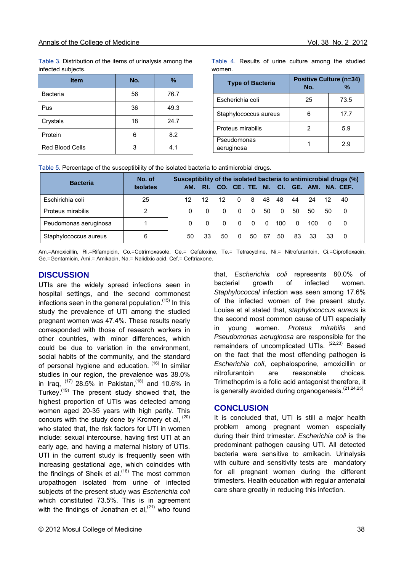Table 3. Distribution of the items of urinalysis among the infected subjects.

| <b>Item</b>            | No. | $\%$ |
|------------------------|-----|------|
| <b>Bacteria</b>        | 56  | 76.7 |
| Pus                    | 36  | 49.3 |
| Crystals               | 18  | 24.7 |
| Protein                | 6   | 8.2  |
| <b>Red Blood Cells</b> | 3   | 4.1  |

Table 4. Results of urine culture among the studied women.

| <b>Type of Bacteria</b>   | <b>Positive Culture (n=34)</b><br>No. | %    |  |  |
|---------------------------|---------------------------------------|------|--|--|
| Escherichia coli          | 25                                    | 73.5 |  |  |
| Staphylococcus aureus     |                                       | 17.7 |  |  |
| Proteus mirabilis         |                                       | 5.9  |  |  |
| Pseudomonas<br>aeruginosa |                                       | 29   |  |  |

Table 5. Percentage of the susceptibility of the isolated bacteria to antimicrobial drugs.

| <b>Bacteria</b>       | No. of          | Susceptibility of the isolated bacteria to antimicrobial drugs (%) |          |          |          |                |     |              |          |                                               |    |                |
|-----------------------|-----------------|--------------------------------------------------------------------|----------|----------|----------|----------------|-----|--------------|----------|-----------------------------------------------|----|----------------|
|                       | <b>Isolates</b> |                                                                    |          |          |          |                |     |              |          | AM. RI. CO. CE. TE. NI. CI. GE. AMI. NA. CEF. |    |                |
| Eschirichia coli      | 25              | 12                                                                 | 12       | 12       | $\Omega$ | 8              | 48  | 48           | 44       | 24                                            | 12 | 40             |
| Proteus mirabilis     | 2               | $\Omega$                                                           | $\Omega$ | $\Omega$ | $\Omega$ | $\overline{0}$ | 50. | $\mathbf{0}$ | 50       | 50                                            | 50 | - 0            |
| Peudomonas aeruginosa |                 | $\Omega$                                                           | $\Omega$ | $\Omega$ | $\Omega$ | $\Omega$       | 0   | 100          | $\Omega$ | 100.                                          |    | - 0            |
| Staphylococcus aureus | 6               | 50                                                                 | 33       | 50       | $\Omega$ | 50.            | -67 | 50           | 83       | 33                                            | 33 | $\overline{0}$ |

Am.=Amoxicillin, Ri.=Rifampicin, Co.=Cotrimoxasole, Ce.= Cefaloxine, Te.= Tetracycline, Ni.= Nitrofurantoin, Ci.=Ciprofloxacin, Ge.=Gentamicin, Ami.= Amikacin, Na.= Nalidixic acid, Cef.= Ceftriaxone.

#### **DISCUSSION**

UTIs are the widely spread infections seen in hospital settings, and the second commonest infections seen in the general population.<sup>(15)</sup> In this study the prevalence of UTI among the studied pregnant women was 47.4%. These results nearly corresponded with those of research workers in other countries, with minor differences, which could be due to variation in the environment, social habits of the community, and the standard of personal hygiene and education. <sup>(16)</sup> In similar studies in our region, the prevalence was 38.0% in Iraq,  $^{(17)}$  28.5% in Pakistan,  $^{(18)}$  and 10.6% in Turkey.(19) The present study showed that, the highest proportion of UTIs was detected among women aged 20-35 years with high parity. This concurs with the study done by Krcmery et al. (20) who stated that, the risk factors for UTI in women include: sexual intercourse, having first UTI at an early age, and having a maternal history of UTIs. UTI in the current study is frequently seen with increasing gestational age, which coincides with the findings of Sheik et al. $^{(18)}$  The most common uropathogen isolated from urine of infected subjects of the present study was *Escherichia coli* which constituted 73.5%. This is in agreement with the findings of Jonathan et al. $(21)$  who found

that, *Escherichia coli* represents 80.0% of bacterial growth of infected women. *Staphylococcal* infection was seen among 17.6% of the infected women of the present study. Louise et al stated that, *staphylococcus aureus* is the second most common cause of UTI especially in young women. *Proteus mirabilis* and *Pseudomonas aeruginosa* are responsible for the remainders of uncomplicated UTIs.  $(22,23)$  Based on the fact that the most offending pathogen is *Escherichia coli*, cephalosporine, amoxicillin or nitrofurantoin are reasonable choices. Trimethoprim is a folic acid antagonist therefore, it is generally avoided during organogenesis.<sup>(21,24,25)</sup>

### **CONCLUSION**

It is concluded that, UTI is still a major health problem among pregnant women especially during their third trimester. *Escherichia coli* is the predominant pathogen causing UTI. All detected bacteria were sensitive to amikacin. Urinalysis with culture and sensitivity tests are mandatory for all pregnant women during the different trimesters. Health education with regular antenatal care share greatly in reducing this infection.